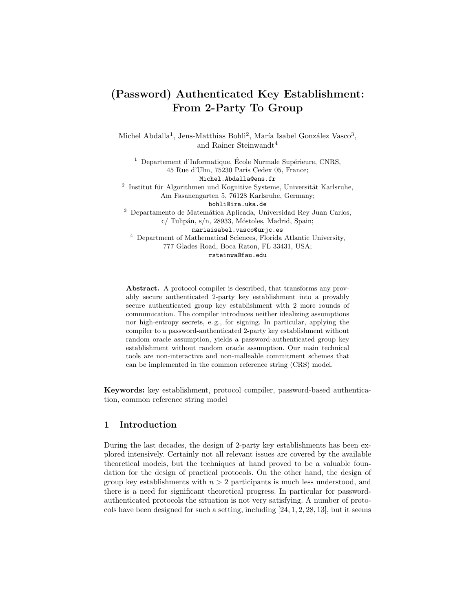# (Password) Authenticated Key Establishment: From 2-Party To Group

Michel Abdalla<sup>1</sup>, Jens-Matthias Bohli<sup>2</sup>, María Isabel González Vasco<sup>3</sup>, and Rainer Steinwandt<sup>4</sup>

 $<sup>1</sup>$  Departement d'Informatique, École Normale Supérieure, CNRS,</sup> 45 Rue d'Ulm, 75230 Paris Cedex 05, France; Michel.Abdalla@ens.fr  $2$  Institut für Algorithmen und Kognitive Systeme, Universität Karlsruhe, Am Fasanengarten 5, 76128 Karlsruhe, Germany; bohli@ira.uka.de <sup>3</sup> Departamento de Matemática Aplicada, Universidad Rey Juan Carlos,  $c/$  Tulipán, s/n, 28933, Móstoles, Madrid, Spain; mariaisabel.vasco@urjc.es <sup>4</sup> Department of Mathematical Sciences, Florida Atlantic University, 777 Glades Road, Boca Raton, FL 33431, USA; rsteinwa@fau.edu

Abstract. A protocol compiler is described, that transforms any provably secure authenticated 2-party key establishment into a provably secure authenticated group key establishment with 2 more rounds of communication. The compiler introduces neither idealizing assumptions nor high-entropy secrets, e. g., for signing. In particular, applying the compiler to a password-authenticated 2-party key establishment without random oracle assumption, yields a password-authenticated group key establishment without random oracle assumption. Our main technical tools are non-interactive and non-malleable commitment schemes that can be implemented in the common reference string (CRS) model.

Keywords: key establishment, protocol compiler, password-based authentication, common reference string model

# 1 Introduction

During the last decades, the design of 2-party key establishments has been explored intensively. Certainly not all relevant issues are covered by the available theoretical models, but the techniques at hand proved to be a valuable foundation for the design of practical protocols. On the other hand, the design of group key establishments with  $n > 2$  participants is much less understood, and there is a need for significant theoretical progress. In particular for passwordauthenticated protocols the situation is not very satisfying. A number of protocols have been designed for such a setting, including [24, 1, 2, 28, 13], but it seems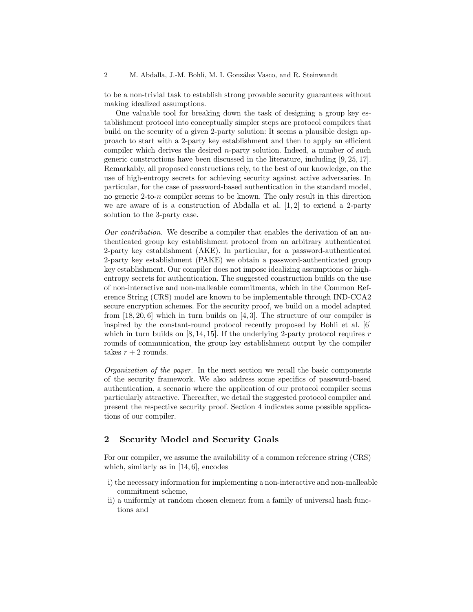to be a non-trivial task to establish strong provable security guarantees without making idealized assumptions.

One valuable tool for breaking down the task of designing a group key establishment protocol into conceptually simpler steps are protocol compilers that build on the security of a given 2-party solution: It seems a plausible design approach to start with a 2-party key establishment and then to apply an efficient compiler which derives the desired n-party solution. Indeed, a number of such generic constructions have been discussed in the literature, including [9, 25, 17]. Remarkably, all proposed constructions rely, to the best of our knowledge, on the use of high-entropy secrets for achieving security against active adversaries. In particular, for the case of password-based authentication in the standard model, no generic 2-to-n compiler seems to be known. The only result in this direction we are aware of is a construction of Abdalla et al.  $[1, 2]$  to extend a 2-party solution to the 3-party case.

Our contribution. We describe a compiler that enables the derivation of an authenticated group key establishment protocol from an arbitrary authenticated 2-party key establishment (AKE). In particular, for a password-authenticated 2-party key establishment (PAKE) we obtain a password-authenticated group key establishment. Our compiler does not impose idealizing assumptions or highentropy secrets for authentication. The suggested construction builds on the use of non-interactive and non-malleable commitments, which in the Common Reference String (CRS) model are known to be implementable through IND-CCA2 secure encryption schemes. For the security proof, we build on a model adapted from  $[18, 20, 6]$  which in turn builds on  $[4, 3]$ . The structure of our compiler is inspired by the constant-round protocol recently proposed by Bohli et al. [6] which in turn builds on  $[8, 14, 15]$ . If the underlying 2-party protocol requires r rounds of communication, the group key establishment output by the compiler takes  $r + 2$  rounds.

Organization of the paper. In the next section we recall the basic components of the security framework. We also address some specifics of password-based authentication, a scenario where the application of our protocol compiler seems particularly attractive. Thereafter, we detail the suggested protocol compiler and present the respective security proof. Section 4 indicates some possible applications of our compiler.

# 2 Security Model and Security Goals

For our compiler, we assume the availability of a common reference string (CRS) which, similarly as in [14, 6], encodes

- i) the necessary information for implementing a non-interactive and non-malleable commitment scheme,
- ii) a uniformly at random chosen element from a family of universal hash functions and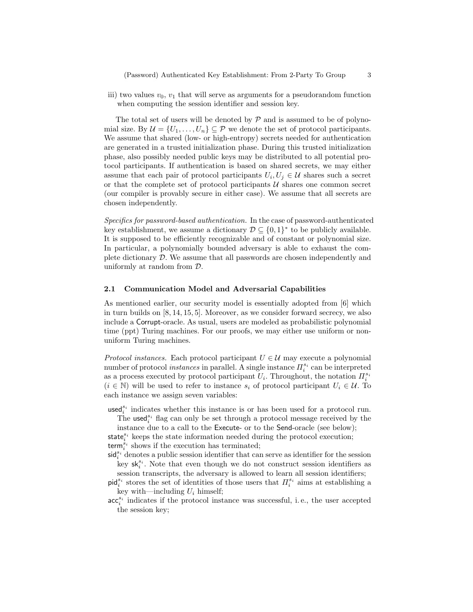(Password) Authenticated Key Establishment: From 2-Party To Group 3

iii) two values  $v_0$ ,  $v_1$  that will serve as arguments for a pseudorandom function when computing the session identifier and session key.

The total set of users will be denoted by  $\mathcal P$  and is assumed to be of polynomial size. By  $\mathcal{U} = \{U_1, \ldots, U_n\} \subseteq \mathcal{P}$  we denote the set of protocol participants. We assume that shared (low- or high-entropy) secrets needed for authentication are generated in a trusted initialization phase. During this trusted initialization phase, also possibly needed public keys may be distributed to all potential protocol participants. If authentication is based on shared secrets, we may either assume that each pair of protocol participants  $U_i, U_j \in \mathcal{U}$  shares such a secret or that the complete set of protocol participants  $U$  shares one common secret (our compiler is provably secure in either case). We assume that all secrets are chosen independently.

Specifics for password-based authentication. In the case of password-authenticated key establishment, we assume a dictionary  $\mathcal{D} \subseteq \{0,1\}^*$  to be publicly available. It is supposed to be efficiently recognizable and of constant or polynomial size. In particular, a polynomially bounded adversary is able to exhaust the complete dictionary D. We assume that all passwords are chosen independently and uniformly at random from D.

#### 2.1 Communication Model and Adversarial Capabilities

As mentioned earlier, our security model is essentially adopted from [6] which in turn builds on [8, 14, 15, 5]. Moreover, as we consider forward secrecy, we also include a Corrupt-oracle. As usual, users are modeled as probabilistic polynomial time (ppt) Turing machines. For our proofs, we may either use uniform or nonuniform Turing machines.

*Protocol instances.* Each protocol participant  $U \in \mathcal{U}$  may execute a polynomial number of protocol *instances* in parallel. A single instance  $\Pi_i^{s_i}$  can be interpreted as a process executed by protocol participant  $U_i$ . Throughout, the notation  $\Pi_i^{s_i}$  $(i \in \mathbb{N})$  will be used to refer to instance  $s_i$  of protocol participant  $U_i \in \mathcal{U}$ . To each instance we assign seven variables:

 $used_i^{s_i}$  indicates whether this instance is or has been used for a protocol run. The used<sup> $s_i$ </sup> flag can only be set through a protocol message received by the

instance due to a call to the Execute- or to the Send-oracle (see below); state<sup>s<sub>i</sub></sup> keeps the state information needed during the protocol execution;

 $\mathsf{term}_{i}^{\dot{s}_{i}}$  shows if the execution has terminated;

- $\mathsf{sid}_i^{s_i}$  denotes a public session identifier that can serve as identifier for the session key  $sk_i^{s_i}$ . Note that even though we do not construct session identifiers as session transcripts, the adversary is allowed to learn all session identifiers;
- $\text{pid}_i^{s_i}$  stores the set of identities of those users that  $\Pi_i^{s_i}$  aims at establishing a key with—including  $U_i$  himself;
- $\mathrm{acc}_i^{s_i}$  indicates if the protocol instance was successful, i.e., the user accepted the session key;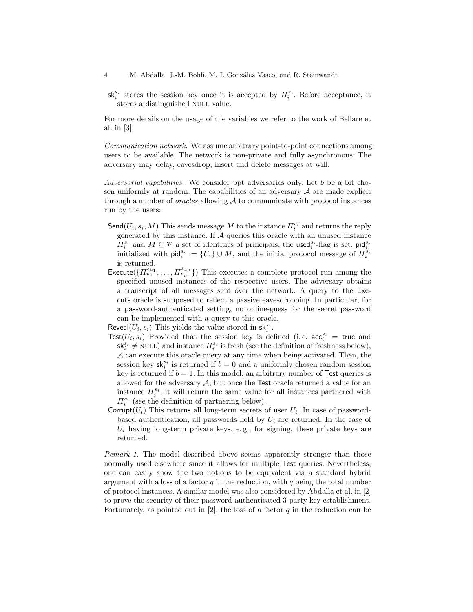- 4 M. Abdalla, J.-M. Bohli, M. I. González Vasco, and R. Steinwandt
- $sk_i^{s_i}$  stores the session key once it is accepted by  $\Pi_i^{s_i}$ . Before acceptance, it stores a distinguished NULL value.

For more details on the usage of the variables we refer to the work of Bellare et al. in [3].

Communication network. We assume arbitrary point-to-point connections among users to be available. The network is non-private and fully asynchronous: The adversary may delay, eavesdrop, insert and delete messages at will.

Adversarial capabilities. We consider ppt adversaries only. Let b be a bit chosen uniformly at random. The capabilities of an adversary  $A$  are made explicit through a number of *oracles* allowing  $A$  to communicate with protocol instances run by the users:

- $\mathsf{Send}(U_i, s_i, M)$  This sends message  $M$  to the instance  $\Pi_i^{s_i}$  and returns the reply generated by this instance. If  $A$  queries this oracle with an unused instance  $\Pi_i^{s_i}$  and  $M \subseteq \mathcal{P}$  a set of identities of principals, the used<sup>s<sub>i</sub>-flag is set, pid<sub>i</sub><sup>s<sub>i</sub></sub></sup></sup> initialized with  $\mathsf{pid}_i^{s_i} := \{U_i\} \cup M$ , and the initial protocol message of  $\overline{H}_i^{s_i}$ is returned.
- Execute( $\{ \prod_{u_1}^{s_{u_1}}, \ldots, \prod_{u_\mu}^{s_{u_\mu}} \}$ ) This executes a complete protocol run among the specified unused instances of the respective users. The adversary obtains a transcript of all messages sent over the network. A query to the Execute oracle is supposed to reflect a passive eavesdropping. In particular, for a password-authenticated setting, no online-guess for the secret password can be implemented with a query to this oracle.

Reveal $(U_i, s_i)$  This yields the value stored in  $\mathsf{sk}_i^{s_i}$ .

- Test( $U_i, s_i$ ) Provided that the session key is defined (i.e.  $\mathrm{acc}_i^{s_i} = \mathrm{true}$  and  $sk_i^{s_i} \neq \text{NULL}$ ) and instance  $\Pi_i^{s_i}$  is fresh (see the definition of freshness below), A can execute this oracle query at any time when being activated. Then, the session key  $\mathsf{sk}_i^{s_i}$  is returned if  $b = 0$  and a uniformly chosen random session key is returned if  $b = 1$ . In this model, an arbitrary number of Test queries is allowed for the adversary  $A$ , but once the Test oracle returned a value for an instance  $\Pi_i^{s_i}$ , it will return the same value for all instances partnered with  $\Pi_i^{s_i}$  (see the definition of partnering below).
- Corrupt $(U_i)$  This returns all long-term secrets of user  $U_i$ . In case of passwordbased authentication, all passwords held by  $U_i$  are returned. In the case of  $U_i$  having long-term private keys, e.g., for signing, these private keys are returned.

Remark 1. The model described above seems apparently stronger than those normally used elsewhere since it allows for multiple Test queries. Nevertheless, one can easily show the two notions to be equivalent via a standard hybrid argument with a loss of a factor  $q$  in the reduction, with  $q$  being the total number of protocol instances. A similar model was also considered by Abdalla et al. in [2] to prove the security of their password-authenticated 3-party key establishment. Fortunately, as pointed out in  $[2]$ , the loss of a factor q in the reduction can be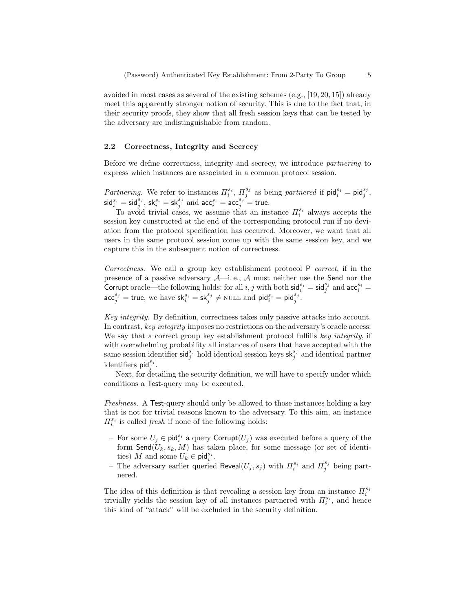avoided in most cases as several of the existing schemes (e.g., [19, 20, 15]) already meet this apparently stronger notion of security. This is due to the fact that, in their security proofs, they show that all fresh session keys that can be tested by the adversary are indistinguishable from random.

#### 2.2 Correctness, Integrity and Secrecy

Before we define correctness, integrity and secrecy, we introduce partnering to express which instances are associated in a common protocol session.

Partnering. We refer to instances  $\Pi_i^{s_i}$ ,  $\Pi_j^{s_j}$  as being partnered if  $\text{pid}_i^{s_i} = \text{pid}_j^{s_j}$ ,  $\mathsf{sid}_i^{s_i} = \mathsf{sid}_j^{s_j}, \, \mathsf{sk}_i^{s_i} = \mathsf{sk}_j^{s_j} \, \, \text{and} \, \, \mathsf{acc}_i^{s_i} = \mathsf{acc}_j^{s_j} = \mathsf{true}.$ 

To avoid trivial cases, we assume that an instance  $\Pi_i^{s_i}$  always accepts the session key constructed at the end of the corresponding protocol run if no deviation from the protocol specification has occurred. Moreover, we want that all users in the same protocol session come up with the same session key, and we capture this in the subsequent notion of correctness.

Correctness. We call a group key establishment protocol P correct, if in the presence of a passive adversary  $\mathcal{A}$ —i.e.,  $\mathcal{A}$  must neither use the Send nor the Corrupt oracle—the following holds: for all  $i, j$  with both  $\mathsf{sid}_i^{s_i} = \mathsf{sid}_j^{s_j}$  and  $\mathsf{acc}_i^{s_i} =$  $\mathsf{acc}_j^{s_j} = \mathsf{true}, \text{ we have } \mathsf{sk}_i^{s_i} = \mathsf{sk}_j^{s_j} \neq \text{NULL} \text{ and } \mathsf{pid}_i^{s_i} = \mathsf{pid}_j^{s_j}.$ 

Key integrity. By definition, correctness takes only passive attacks into account. In contrast, key integrity imposes no restrictions on the adversary's oracle access: We say that a correct group key establishment protocol fulfills key integrity, if with overwhelming probability all instances of users that have accepted with the same session identifier  $\mathsf{sid}^{s_j}_{j}$  hold identical session keys  $\mathsf{sk}^{s_j}_{j}$  and identical partner identifiers  $\mathsf{pid}_j^{s_j}$ .

Next, for detailing the security definition, we will have to specify under which conditions a Test-query may be executed.

Freshness. A Test-query should only be allowed to those instances holding a key that is not for trivial reasons known to the adversary. To this aim, an instance  $\Pi^{s_i}_i$  is called *fresh* if none of the following holds:

- For some  $U_j$  ∈ pid<sup>s<sub>i</sub></sup> a query Corrupt $(U_j)$  was executed before a query of the form  $\mathsf{Send}(U_k, s_k, M)$  has taken place, for some message (or set of identities) M and some  $U_k \in \text{pid}_i^{s_i}$ .
- The adversary earlier queried Reveal( $U_j$ ,  $s_j$ ) with  $\Pi_i^{s_i}$  and  $\Pi_j^{s_j}$  being partnered.

The idea of this definition is that revealing a session key from an instance  $\Pi^{s_i}_i$ trivially yields the session key of all instances partnered with  $\Pi_i^{s_i}$ , and hence this kind of "attack" will be excluded in the security definition.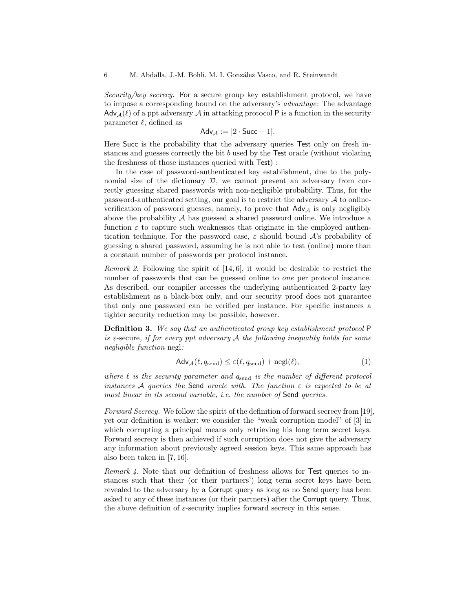Security/key secrecy. For a secure group key establishment protocol, we have to impose a corresponding bound on the adversary's advantage: The advantage  $\mathsf{Adv}_{\mathcal{A}}(\ell)$  of a ppt adversary  $\mathcal A$  in attacking protocol P is a function in the security parameter  $\ell$ , defined as

$$
Adv_{\mathcal{A}} := |2 \cdot Succ - 1|.
$$

Here Succ is the probability that the adversary queries Test only on fresh instances and guesses correctly the bit b used by the Test oracle (without violating the freshness of those instances queried with Test) :

In the case of password-authenticated key establishment, due to the polynomial size of the dictionary  $D$ , we cannot prevent an adversary from correctly guessing shared passwords with non-negligible probability. Thus, for the password-authenticated setting, our goal is to restrict the adversary  $\mathcal A$  to onlineverification of password guesses, namely, to prove that  $\mathsf{Adv}_{\mathcal{A}}$  is only negligibly above the probability  $A$  has guessed a shared password online. We introduce a function  $\varepsilon$  to capture such weaknesses that originate in the employed authentication technique. For the password case,  $\varepsilon$  should bound  $\mathcal{A}$ 's probability of guessing a shared password, assuming he is not able to test (online) more than a constant number of passwords per protocol instance.

*Remark 2.* Following the spirit of  $[14, 6]$ , it would be desirable to restrict the number of passwords that can be guessed online to *one* per protocol instance. As described, our compiler accesses the underlying authenticated 2-party key establishment as a black-box only, and our security proof does not guarantee that only one password can be verified per instance. For specific instances a tighter security reduction may be possible, however.

Definition 3. We say that an authenticated group key establishment protocol P is  $\varepsilon$ -secure, if for every ppt adversary  $A$  the following inequality holds for some negligible function negl:

$$
\mathsf{Adv}_{\mathcal{A}}(\ell, q_{\text{send}}) \le \varepsilon(\ell, q_{\text{send}}) + \text{negl}(\ell),\tag{1}
$$

where  $\ell$  is the security parameter and  $q_{\text{send}}$  is the number of different protocol instances A queries the Send oracle with. The function  $\varepsilon$  is expected to be at most linear in its second variable, i.e. the number of Send queries.

Forward Secrecy. We follow the spirit of the definition of forward secrecy from [19], yet our definition is weaker: we consider the "weak corruption model" of [3] in which corrupting a principal means only retrieving his long term secret keys. Forward secrecy is then achieved if such corruption does not give the adversary any information about previously agreed session keys. This same approach has also been taken in [7, 16].

Remark 4. Note that our definition of freshness allows for Test queries to instances such that their (or their partners') long term secret keys have been revealed to the adversary by a Corrupt query as long as no Send query has been asked to any of these instances (or their partners) after the Corrupt query. Thus, the above definition of  $\varepsilon$ -security implies forward secrecy in this sense.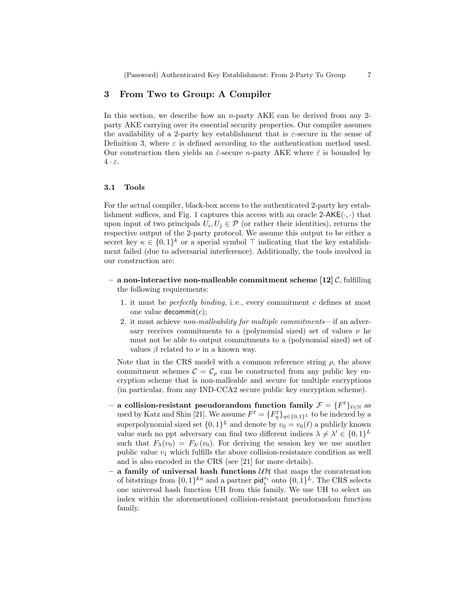## 3 From Two to Group: A Compiler

In this section, we describe how an *n*-party AKE can be derived from any 2party AKE carrying over its essential security properties. Our compiler assumes the availability of a 2-party key establishment that is  $\varepsilon$ -secure in the sense of Definition 3, where  $\varepsilon$  is defined according to the authentication method used. Our construction then yields an  $\hat{\varepsilon}$ -secure *n*-party AKE where  $\hat{\varepsilon}$  is bounded by  $4 \cdot \varepsilon$ .

#### 3.1 Tools

For the actual compiler, black-box access to the authenticated 2-party key establishment suffices, and Fig. 1 captures this access with an oracle  $2-AKE(\cdot, \cdot)$  that upon input of two principals  $U_i, U_j \in \mathcal{P}$  (or rather their identities), returns the respective output of the 2-party protocol. We assume this output to be either a secret key  $\kappa \in \{0,1\}^k$  or a special symbol  $\top$  indicating that the key establishment failed (due to adversarial interference). Additionally, the tools involved in our construction are:

- a non-interactive non-malleable commitment scheme  $[12]$  C, fulfilling the following requirements:
	- 1. it must be perfectly binding, i. e., every commitment c defines at most one value decommit $(c)$ ;
	- 2. it must achieve non-malleability for multiple commitments—if an adversary receives commitments to a (polynomial sized) set of values  $\nu$  he must not be able to output commitments to a (polynomial sized) set of values  $\beta$  related to  $\nu$  in a known way.

Note that in the CRS model with a common reference string  $\rho$ , the above commitment schemes  $\mathcal{C} = \mathcal{C}_{\rho}$  can be constructed from any public key encryption scheme that is non-malleable and secure for multiple encryptions (in particular, from any IND-CCA2 secure public key encryption scheme).

- a collision-resistant pseudorandom function family  $\mathcal{F} = \{F^\ell\}_{\ell \in \mathbb{N}}$  as used by Katz and Shin [21]. We assume  $F^{\ell} = \{F^{\ell}_{\eta}\}_{{\eta \in \{0,1\}^L}}$  to be indexed by a superpolynomial sized set  $\{0,1\}^L$  and denote by  $v_0 = v_0(\ell)$  a publicly known value such no ppt adversary can find two different indices  $\lambda \neq \lambda' \in \{0,1\}^L$ such that  $F_{\lambda}(v_0) = F_{\lambda}(v_0)$ . For deriving the session key we use another public value  $v_1$  which fulfills the above collision-resistance condition as well and is also encoded in the CRS (see [21] for more details).
- a family of universal hash functions  $UH$  that maps the concatenation of bitstrings from  $\{0,1\}^{kn}$  and a partner  $\text{pid}_i^{s_i}$  onto  $\{0,1\}^L$ . The CRS selects one universal hash function UH from this family. We use UH to select an index within the aforementioned collision-resistant pseudorandom function family.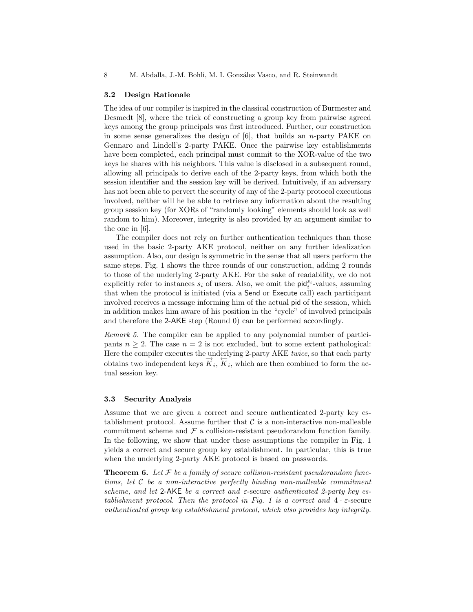8 M. Abdalla, J.-M. Bohli, M. I. González Vasco, and R. Steinwandt

#### 3.2 Design Rationale

The idea of our compiler is inspired in the classical construction of Burmester and Desmedt [8], where the trick of constructing a group key from pairwise agreed keys among the group principals was first introduced. Further, our construction in some sense generalizes the design of  $[6]$ , that builds an *n*-party PAKE on Gennaro and Lindell's 2-party PAKE. Once the pairwise key establishments have been completed, each principal must commit to the XOR-value of the two keys he shares with his neighbors. This value is disclosed in a subsequent round, allowing all principals to derive each of the 2-party keys, from which both the session identifier and the session key will be derived. Intuitively, if an adversary has not been able to pervert the security of any of the 2-party protocol executions involved, neither will he be able to retrieve any information about the resulting group session key (for XORs of "randomly looking" elements should look as well random to him). Moreover, integrity is also provided by an argument similar to the one in [6].

The compiler does not rely on further authentication techniques than those used in the basic 2-party AKE protocol, neither on any further idealization assumption. Also, our design is symmetric in the sense that all users perform the same steps. Fig. 1 shows the three rounds of our construction, adding 2 rounds to those of the underlying 2-party AKE. For the sake of readability, we do not explicitly refer to instances  $s_i$  of users. Also, we omit the  $\text{pid}_i^{s_i}$ -values, assuming that when the protocol is initiated (via a Send or Execute call) each participant involved receives a message informing him of the actual pid of the session, which in addition makes him aware of his position in the "cycle" of involved principals and therefore the 2-AKE step (Round 0) can be performed accordingly.

Remark 5. The compiler can be applied to any polynomial number of participants  $n \geq 2$ . The case  $n = 2$  is not excluded, but to some extent pathological: Here the compiler executes the underlying 2-party AKE twice, so that each party obtains two independent keys  $\vec{K}_i$ ,  $\vec{K}_i$ , which are then combined to form the actual session key.

#### 3.3 Security Analysis

Assume that we are given a correct and secure authenticated 2-party key establishment protocol. Assume further that  $\mathcal C$  is a non-interactive non-malleable commitment scheme and  $\mathcal F$  a collision-resistant pseudorandom function family. In the following, we show that under these assumptions the compiler in Fig. 1 yields a correct and secure group key establishment. In particular, this is true when the underlying 2-party AKE protocol is based on passwords.

**Theorem 6.** Let  $\mathcal F$  be a family of secure collision-resistant pseudorandom functions, let  $C$  be a non-interactive perfectly binding non-malleable commitment scheme, and let 2-AKE be a correct and  $\varepsilon$ -secure authenticated 2-party key establishment protocol. Then the protocol in Fig. 1 is a correct and  $4 \cdot \varepsilon$ -secure authenticated group key establishment protocol, which also provides key integrity.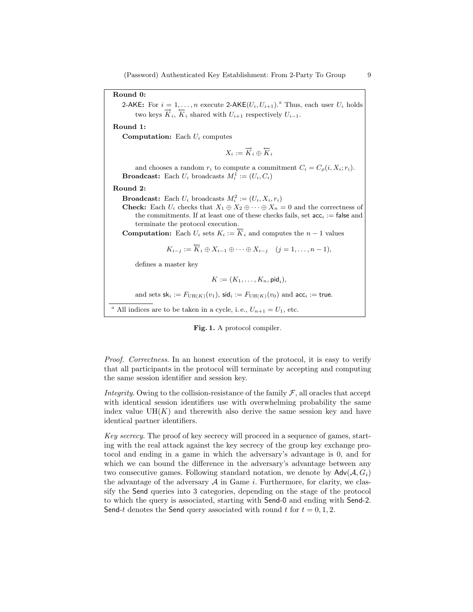Round 0:

2-AKE: For  $i = 1, ..., n$  execute 2-AKE $(U_i, U_{i+1})$ .<sup>a</sup> Thus, each user  $U_i$  holds two keys  $\overrightarrow{K}_i$ ,  $\overrightarrow{K}_i$  shared with  $U_{i+1}$  respectively  $U_{i-1}$ .

Round 1:

**Computation:** Each  $U_i$  computes

 $X_i := \overrightarrow{K}_i \oplus \overleftarrow{K}_i$ 

and chooses a random  $r_i$  to compute a commitment  $C_i = C_\rho(i, X_i; r_i)$ . **Broadcast:** Each  $U_i$  broadcasts  $M_i^1 := (U_i, C_i)$ 

Round 2:

**Broadcast:** Each  $U_i$  broadcasts  $M_i^2 := (U_i, X_i, r_i)$ 

**Check:** Each  $U_i$  checks that  $X_1 \oplus X_2 \oplus \cdots \oplus X_n = 0$  and the correctness of the commitments. If at least one of these checks fails, set  $acc_i := false$  and terminate the protocol execution.

**Computation:** Each  $U_i$  sets  $K_i := \overleftarrow{K}_i$  and computes the  $n-1$  values

 $K_{i-j} := \overleftarrow{K}_i \oplus X_{i-1} \oplus \cdots \oplus X_{i-j} \quad (j = 1, \ldots, n-1),$ 

defines a master key

$$
K:=(K_1,\ldots,K_n,\mathsf{pid}_i),
$$

and sets  $sk_i := F_{UH(K)}(v_1)$ ,  $sid_i := F_{UH(K)}(v_0)$  and  $acc_i := true$ .

<sup>a</sup> All indices are to be taken in a cycle, i.e.,  $U_{n+1} = U_1$ , etc.



Proof. Correctness. In an honest execution of the protocol, it is easy to verify that all participants in the protocol will terminate by accepting and computing the same session identifier and session key.

Integrity. Owing to the collision-resistance of the family  $\mathcal{F}$ , all oracles that accept with identical session identifiers use with overwhelming probability the same index value  $UH(K)$  and therewith also derive the same session key and have identical partner identifiers.

Key secrecy. The proof of key secrecy will proceed in a sequence of games, starting with the real attack against the key secrecy of the group key exchange protocol and ending in a game in which the adversary's advantage is 0, and for which we can bound the difference in the adversary's advantage between any two consecutive games. Following standard notation, we denote by  $\mathsf{Adv}(\mathcal{A}, G_i)$ the advantage of the adversary  $A$  in Game i. Furthermore, for clarity, we classify the Send queries into 3 categories, depending on the stage of the protocol to which the query is associated, starting with Send-0 and ending with Send-2. Send-t denotes the Send query associated with round t for  $t = 0, 1, 2$ .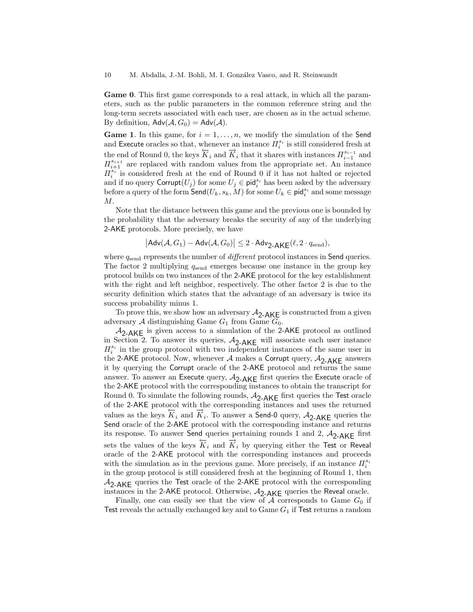Game 0. This first game corresponds to a real attack, in which all the parameters, such as the public parameters in the common reference string and the long-term secrets associated with each user, are chosen as in the actual scheme. By definition,  $\mathsf{Adv}(\mathcal{A}, G_0) = \mathsf{Adv}(\mathcal{A})$ .

**Game 1.** In this game, for  $i = 1, \ldots, n$ , we modify the simulation of the Send and Execute oracles so that, whenever an instance  $\Pi^{s_i}_i$  is still considered fresh at the end of Round 0, the keys  $\overleftrightarrow{K}_i$  and  $\overrightarrow{K}_i$  that it shares with instances  $\Pi_{i-1}^{s_{i-1}}$  and  $\Pi_{i+1}^{s_{i+1}}$  are replaced with random values from the appropriate set. An instance  $\prod_{i=1}^{s_i}$  is considered fresh at the end of Round 0 if it has not halted or rejected and if no query  $\text{Corrupt}(U_j)$  for some  $U_j \in \text{pid}_i^{s_i}$  has been asked by the adversary before a query of the form  $\mathsf{Send}(U_k,s_k,M)$  for some  $U_k\in \mathsf{pid}_i^{s_i}$  and some message M.

Note that the distance between this game and the previous one is bounded by the probability that the adversary breaks the security of any of the underlying 2-AKE protocols. More precisely, we have

$$
\bigl|\mathsf{Adv}(\mathcal{A}, G_1) - \mathsf{Adv}(\mathcal{A}, G_0)\bigr| \leq 2 \cdot \mathsf{Adv}_{2\text{-}\mathsf{AKE}}(\ell, 2 \cdot q_{\text{send}}),
$$

where  $q_{send}$  represents the number of *different* protocol instances in Send queries. The factor 2 multiplying  $q_{send}$  emerges because one instance in the group key protocol builds on two instances of the 2-AKE protocol for the key establishment with the right and left neighbor, respectively. The other factor 2 is due to the security definition which states that the advantage of an adversary is twice its success probability minus 1.

To prove this, we show how an adversary  $A_{2-AKE}$  is constructed from a given adversary A distinguishing Game  $G_1$  from Game  $G_0$ .

 $A_{2-AKE}$  is given access to a simulation of the 2-AKE protocol as outlined in Section 2. To answer its queries,  $A_{2-AKE}$  will associate each user instance  $\Pi_i^{s_i}$  in the group protocol with two independent instances of the same user in the 2-AKE protocol. Now, whenever A makes a Corrupt query,  $A_{2-AKE}$  answers it by querying the Corrupt oracle of the 2-AKE protocol and returns the same answer. To answer an Execute query,  $A_{2-AKE}$  first queries the Execute oracle of the 2-AKE protocol with the corresponding instances to obtain the transcript for Round 0. To simulate the following rounds,  $A_{2-AKE}$  first queries the Test oracle of the 2-AKE protocol with the corresponding instances and uses the returned values as the keys  $K_i$  and  $\overrightarrow{K}_i$ . To answer a Send-0 query,  $A_{2-AKE}$  queries the Send oracle of the 2-AKE protocol with the corresponding instance and returns its response. To answer Send queries pertaining rounds 1 and 2,  $A_{2-AKE}$  first sets the values of the keys  $K_i$  and  $K_i$  by querying either the Test or Reveal oracle of the 2-AKE protocol with the corresponding instances and proceeds with the simulation as in the previous game. More precisely, if an instance  $\Pi^{s_i}_i$ in the group protocol is still considered fresh at the beginning of Round 1, then  $A_{2-AKE}$  queries the Test oracle of the 2-AKE protocol with the corresponding instances in the 2-AKE protocol. Otherwise,  $A_{2-AKE}$  queries the Reveal oracle.

Finally, one can easily see that the view of  $A$  corresponds to Game  $G_0$  if Test reveals the actually exchanged key and to Game  $G_1$  if Test returns a random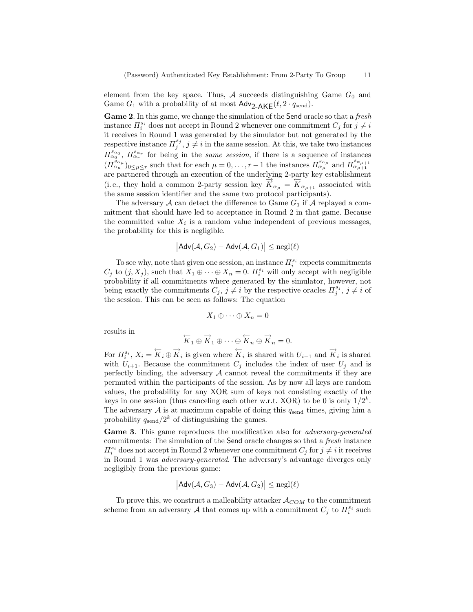element from the key space. Thus,  $A$  succeeds distinguishing Game  $G_0$  and Game  $G_1$  with a probability of at most  $\mathsf{Adv}_{2\_\mathsf{AKF}}(\ell, 2 \cdot q_{\text{send}}).$ 

Game 2. In this game, we change the simulation of the Send oracle so that a fresh instance  $\Pi_i^{s_i}$  does not accept in Round 2 whenever one commitment  $C_j$  for  $j \neq i$ it receives in Round 1 was generated by the simulator but not generated by the respective instance  $\Pi_j^{s_j}, j \neq i$  in the same session. At this, we take two instances  $\Pi_{\alpha_0}^{s_{\alpha_0}}, \Pi_{\alpha_r}^{s_{\alpha_r}}$  for being in the *same session*, if there is a sequence of instances  $(\Pi_{\alpha_\mu}^{s_{\alpha_\mu}})_{0 \leq \mu \leq r}$  such that for each  $\mu = 0, \ldots, r-1$  the instances  $\Pi_{\alpha_\mu}^{s_{\alpha_\mu}}$  and  $\Pi_{\alpha_{\mu+1}}^{s_{\alpha_{\mu+1}}}$ are partnered through an execution of the underlying 2-party key establishment (i.e., they hold a common 2-party session key  $\overrightarrow{K}_{\alpha_{\mu}} = \overleftarrow{K}_{\alpha_{\mu+1}}$  associated with the same session identifier and the same two protocol participants).

The adversary  $A$  can detect the difference to Game  $G_1$  if  $A$  replayed a commitment that should have led to acceptance in Round 2 in that game. Because the committed value  $X_i$  is a random value independent of previous messages, the probability for this is negligible.

$$
|\mathsf{Adv}(\mathcal{A}, G_2) - \mathsf{Adv}(\mathcal{A}, G_1)| \le \mathrm{negl}(\ell)
$$

To see why, note that given one session, an instance  $\Pi^{s_i}_i$  expects commitments  $C_j$  to  $(j, X_j)$ , such that  $X_1 \oplus \cdots \oplus X_n = 0$ .  $\prod_{i=1}^{s_i}$  will only accept with negligible probability if all commitments where generated by the simulator, however, not being exactly the commitments  $C_j$ ,  $j \neq i$  by the respective oracles  $\Pi_j^{s_j}$ ,  $j \neq i$  of the session. This can be seen as follows: The equation

$$
X_1\oplus\cdots\oplus X_n=0
$$

results in

$$
\overleftarrow{K}_1 \oplus \overrightarrow{K}_1 \oplus \cdots \oplus \overleftarrow{K}_n \oplus \overrightarrow{K}_n = 0.
$$

For  $\Pi_i^{s_i}$ ,  $X_i = \overleftrightarrow{K}_i \oplus \overrightarrow{K}_i$  is given where  $\overleftrightarrow{K}_i$  is shared with  $U_{i-1}$  and  $\overrightarrow{K}_i$  is shared with  $U_{i+1}$ . Because the commitment  $C_i$  includes the index of user  $U_i$  and is perfectly binding, the adversary  $A$  cannot reveal the commitments if they are permuted within the participants of the session. As by now all keys are random values, the probability for any XOR sum of keys not consisting exactly of the keys in one session (thus canceling each other w.r.t. XOR) to be 0 is only  $1/2^k$ . The adversary  $A$  is at maximum capable of doing this  $q_{send}$  times, giving him a probability  $q_{\rm send}/2^k$  of distinguishing the games.

Game 3. This game reproduces the modification also for *adversary-generated* commitments: The simulation of the Send oracle changes so that a fresh instance  $\Pi_i^{s_i}$  does not accept in Round 2 whenever one commitment  $C_j$  for  $j \neq i$  it receives in Round 1 was adversary-generated. The adversary's advantage diverges only negligibly from the previous game:

$$
|\mathsf{Adv}(\mathcal{A}, G_3) - \mathsf{Adv}(\mathcal{A}, G_2)| \le \mathrm{negl}(\ell)
$$

To prove this, we construct a malleability attacker  $A_{COM}$  to the commitment scheme from an adversary A that comes up with a commitment  $C_j$  to  $\Pi_i^{s_i}$  such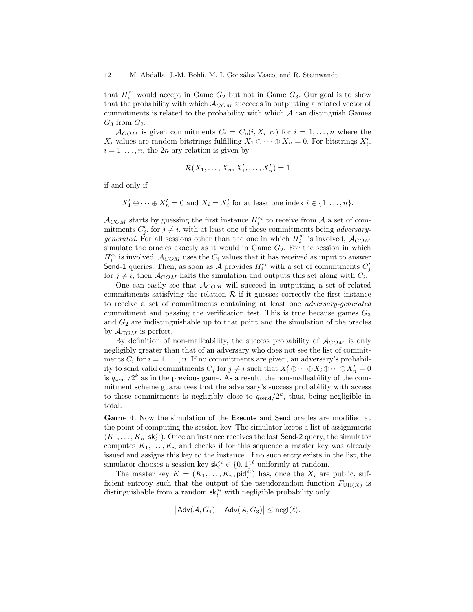that  $\Pi_i^{s_i}$  would accept in Game  $G_2$  but not in Game  $G_3$ . Our goal is to show that the probability with which  $A_{COM}$  succeeds in outputting a related vector of commitments is related to the probability with which  $A$  can distinguish Games  $G_3$  from  $G_2$ .

 $\mathcal{A}_{COM}$  is given commitments  $C_i = C_{\rho}(i, X_i; r_i)$  for  $i = 1, \ldots, n$  where the  $X_i$  values are random bitstrings fulfilling  $X_1 \oplus \cdots \oplus X_n = 0$ . For bitstrings  $X'_i$ ,  $i = 1, \ldots, n$ , the 2*n*-ary relation is given by

$$
\mathcal{R}(X_1,\ldots,X_n,X'_1,\ldots,X'_n)=1
$$

if and only if

 $X'_1 \oplus \cdots \oplus X'_n = 0$  and  $X_i = X'_i$  for at least one index  $i \in \{1, \ldots, n\}.$ 

 $\mathcal{A}_{COM}$  starts by guessing the first instance  $\Pi_i^{s_i}$  to receive from  $\mathcal A$  a set of commitments  $C'_j$ , for  $j \neq i$ , with at least one of these commitments being *adversary*generated. For all sessions other than the one in which  $\Pi_i^{s_i}$  is involved,  $\mathcal{A}_{COM}$ simulate the oracles exactly as it would in Game  $G_2$ . For the session in which  $\Pi_i^{s_i}$  is involved,  $\mathcal{A}_{COM}$  uses the  $C_i$  values that it has received as input to answer Send-1 queries. Then, as soon as A provides  $\Pi_i^{s_i}$  with a set of commitments  $C'_j$ for  $j \neq i$ , then  $\mathcal{A}_{COM}$  halts the simulation and outputs this set along with  $C_i$ .

One can easily see that  $\mathcal{A}_{COM}$  will succeed in outputting a set of related commitments satisfying the relation  $\mathcal R$  if it guesses correctly the first instance to receive a set of commitments containing at least one adversary-generated commitment and passing the verification test. This is true because games  $G_3$ and  $G_2$  are indistinguishable up to that point and the simulation of the oracles by  $\mathcal{A}_{COM}$  is perfect.

By definition of non-malleability, the success probability of  $\mathcal{A}_{COM}$  is only negligibly greater than that of an adversary who does not see the list of commitments  $C_i$  for  $i = 1, \ldots, n$ . If no commitments are given, an adversary's probability to send valid commitments  $C_j$  for  $j \neq i$  such that  $X'_1 \oplus \cdots \oplus X_i \oplus \cdots \oplus X'_n = 0$ is  $q_{\rm send}/2^k$  as in the previous game. As a result, the non-malleability of the commitment scheme guarantees that the adversary's success probability with access to these commitments is negligibly close to  $q_{send}/2^k$ , thus, being negligible in total.

Game 4. Now the simulation of the Execute and Send oracles are modified at the point of computing the session key. The simulator keeps a list of assignments  $(K_1, \ldots, K_n, \mathsf{sk}_i^{s_i})$ . Once an instance receives the last Send-2 query, the simulator computes  $K_1, \ldots, K_n$  and checks if for this sequence a master key was already issued and assigns this key to the instance. If no such entry exists in the list, the simulator chooses a session key  $\mathsf{sk}_i^{s_i} \in \{0,1\}^{\ell}$  uniformly at random.

The master key  $K = (K_1, \ldots, K_n, \text{pid}_i^{s_i})$  has, once the  $X_i$  are public, sufficient entropy such that the output of the pseudorandom function  $F_{UH(K)}$  is distinguishable from a random  $\mathsf{sk}_i^{s_i}$  with negligible probability only.

$$
|\mathsf{Adv}(\mathcal{A}, G_4) - \mathsf{Adv}(\mathcal{A}, G_3)| \le \mathrm{negl}(\ell).
$$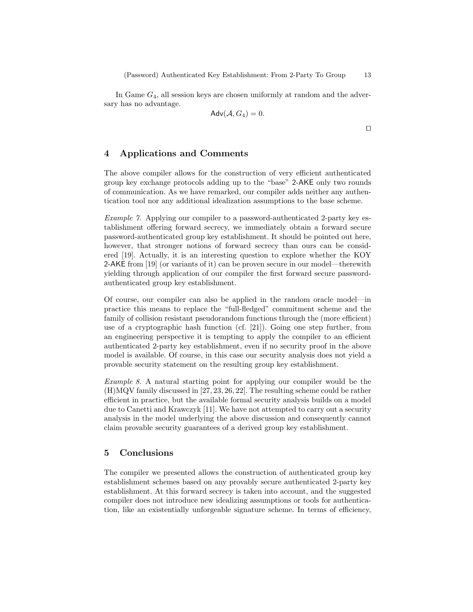In Game  $G_4$ , all session keys are chosen uniformly at random and the adversary has no advantage.

$$
\mathsf{Adv}(\mathcal{A}, G_4) = 0.
$$

 $\Box$ 

# 4 Applications and Comments

The above compiler allows for the construction of very efficient authenticated group key exchange protocols adding up to the "base" 2-AKE only two rounds of communication. As we have remarked, our compiler adds neither any authentication tool nor any additional idealization assumptions to the base scheme.

Example 7. Applying our compiler to a password-authenticated 2-party key establishment offering forward secrecy, we immediately obtain a forward secure password-authenticated group key establishment. It should be pointed out here, however, that stronger notions of forward secrecy than ours can be considered [19]. Actually, it is an interesting question to explore whether the KOY 2-AKE from [19] (or variants of it) can be proven secure in our model—therewith yielding through application of our compiler the first forward secure passwordauthenticated group key establishment.

Of course, our compiler can also be applied in the random oracle model—in practice this means to replace the "full-fledged" commitment scheme and the family of collision resistant pseudorandom functions through the (more efficient) use of a cryptographic hash function (cf. [21]). Going one step further, from an engineering perspective it is tempting to apply the compiler to an efficient authenticated 2-party key establishment, even if no security proof in the above model is available. Of course, in this case our security analysis does not yield a provable security statement on the resulting group key establishment.

Example 8. A natural starting point for applying our compiler would be the (H)MQV family discussed in [27, 23, 26, 22]. The resulting scheme could be rather efficient in practice, but the available formal security analysis builds on a model due to Canetti and Krawczyk [11]. We have not attempted to carry out a security analysis in the model underlying the above discussion and consequently cannot claim provable security guarantees of a derived group key establishment.

### 5 Conclusions

The compiler we presented allows the construction of authenticated group key establishment schemes based on any provably secure authenticated 2-party key establishment. At this forward secrecy is taken into account, and the suggested compiler does not introduce new idealizing assumptions or tools for authentication, like an existentially unforgeable signature scheme. In terms of efficiency,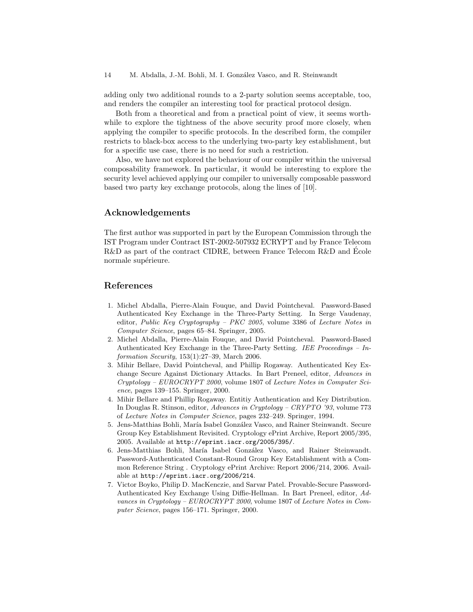adding only two additional rounds to a 2-party solution seems acceptable, too, and renders the compiler an interesting tool for practical protocol design.

Both from a theoretical and from a practical point of view, it seems worthwhile to explore the tightness of the above security proof more closely, when applying the compiler to specific protocols. In the described form, the compiler restricts to black-box access to the underlying two-party key establishment, but for a specific use case, there is no need for such a restriction.

Also, we have not explored the behaviour of our compiler within the universal composability framework. In particular, it would be interesting to explore the security level achieved applying our compiler to universally composable password based two party key exchange protocols, along the lines of [10].

# Acknowledgements

The first author was supported in part by the European Commission through the IST Program under Contract IST-2002-507932 ECRYPT and by France Telecom R&D as part of the contract CIDRE, between France Telecom R&D and Ecole normale supérieure.

### References

- 1. Michel Abdalla, Pierre-Alain Fouque, and David Pointcheval. Password-Based Authenticated Key Exchange in the Three-Party Setting. In Serge Vaudenay, editor, Public Key Cryptography – PKC 2005, volume 3386 of Lecture Notes in Computer Science, pages 65–84. Springer, 2005.
- 2. Michel Abdalla, Pierre-Alain Fouque, and David Pointcheval. Password-Based Authenticated Key Exchange in the Three-Party Setting. IEE Proceedings  $- In$ formation Security, 153(1):27–39, March 2006.
- 3. Mihir Bellare, David Pointcheval, and Phillip Rogaway. Authenticated Key Exchange Secure Against Dictionary Attacks. In Bart Preneel, editor, Advances in Cryptology – EUROCRYPT 2000, volume 1807 of Lecture Notes in Computer Science, pages 139–155. Springer, 2000.
- 4. Mihir Bellare and Phillip Rogaway. Entitiy Authentication and Key Distribution. In Douglas R. Stinson, editor, Advances in Cryptology – CRYPTO '93, volume 773 of Lecture Notes in Computer Science, pages 232–249. Springer, 1994.
- 5. Jens-Matthias Bohli, María Isabel González Vasco, and Rainer Steinwandt. Secure Group Key Establishment Revisited. Cryptology ePrint Archive, Report 2005/395, 2005. Available at http://eprint.iacr.org/2005/395/.
- 6. Jens-Matthias Bohli, María Isabel González Vasco, and Rainer Steinwandt. Password-Authenticated Constant-Round Group Key Establishment with a Common Reference String . Cryptology ePrint Archive: Report 2006/214, 2006. Available at http://eprint.iacr.org/2006/214.
- 7. Victor Boyko, Philip D. MacKenczie, and Sarvar Patel. Provable-Secure Password-Authenticated Key Exchange Using Diffie-Hellman. In Bart Preneel, editor, Advances in Cryptology – EUROCRYPT 2000, volume 1807 of Lecture Notes in Computer Science, pages 156–171. Springer, 2000.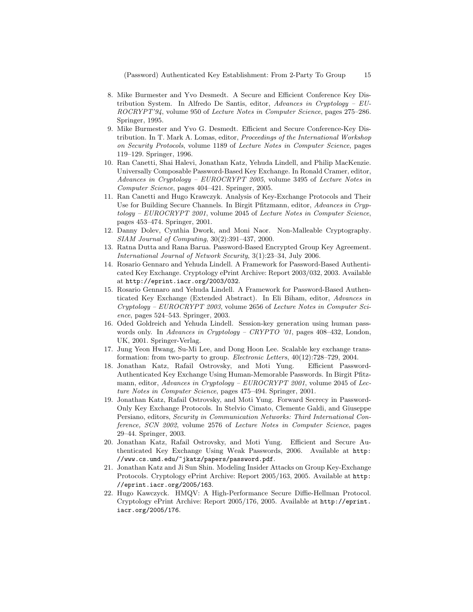(Password) Authenticated Key Establishment: From 2-Party To Group 15

- 8. Mike Burmester and Yvo Desmedt. A Secure and Efficient Conference Key Distribution System. In Alfredo De Santis, editor, Advances in Cryptology –  $EU$ ROCRYPT'94, volume 950 of Lecture Notes in Computer Science, pages 275–286. Springer, 1995.
- 9. Mike Burmester and Yvo G. Desmedt. Efficient and Secure Conference-Key Distribution. In T. Mark A. Lomas, editor, Proceedings of the International Workshop on Security Protocols, volume 1189 of Lecture Notes in Computer Science, pages 119–129. Springer, 1996.
- 10. Ran Canetti, Shai Halevi, Jonathan Katz, Yehuda Lindell, and Philip MacKenzie. Universally Composable Password-Based Key Exchange. In Ronald Cramer, editor, Advances in Cryptology – EUROCRYPT 2005, volume 3495 of Lecture Notes in Computer Science, pages 404–421. Springer, 2005.
- 11. Ran Canetti and Hugo Krawczyk. Analysis of Key-Exchange Protocols and Their Use for Building Secure Channels. In Birgit Pfitzmann, editor, Advances in Cryptology – EUROCRYPT 2001, volume 2045 of Lecture Notes in Computer Science, pages 453–474. Springer, 2001.
- 12. Danny Dolev, Cynthia Dwork, and Moni Naor. Non-Malleable Cryptography. SIAM Journal of Computing, 30(2):391–437, 2000.
- 13. Ratna Dutta and Rana Barua. Password-Based Encrypted Group Key Agreement. International Journal of Network Security, 3(1):23–34, July 2006.
- 14. Rosario Gennaro and Yehuda Lindell. A Framework for Password-Based Authenticated Key Exchange. Cryptology ePrint Archive: Report 2003/032, 2003. Available at http://eprint.iacr.org/2003/032.
- 15. Rosario Gennaro and Yehuda Lindell. A Framework for Password-Based Authenticated Key Exchange (Extended Abstract). In Eli Biham, editor, Advances in Cryptology – EUROCRYPT 2003, volume 2656 of Lecture Notes in Computer Science, pages 524–543. Springer, 2003.
- 16. Oded Goldreich and Yehuda Lindell. Session-key generation using human passwords only. In Advances in Cryptology – CRYPTO '01, pages 408–432, London, UK, 2001. Springer-Verlag.
- 17. Jung Yeon Hwang, Su-Mi Lee, and Dong Hoon Lee. Scalable key exchange transformation: from two-party to group. Electronic Letters, 40(12):728–729, 2004.
- 18. Jonathan Katz, Rafail Ostrovsky, and Moti Yung. Efficient Password-Authenticated Key Exchange Using Human-Memorable Passwords. In Birgit Pfitzmann, editor, Advances in Cryptology – EUROCRYPT 2001, volume 2045 of Lecture Notes in Computer Science, pages 475–494. Springer, 2001.
- 19. Jonathan Katz, Rafail Ostrovsky, and Moti Yung. Forward Secrecy in Password-Only Key Exchange Protocols. In Stelvio Cimato, Clemente Galdi, and Giuseppe Persiano, editors, Security in Communication Networks: Third International Conference, SCN 2002, volume 2576 of Lecture Notes in Computer Science, pages 29–44. Springer, 2003.
- 20. Jonathan Katz, Rafail Ostrovsky, and Moti Yung. Efficient and Secure Authenticated Key Exchange Using Weak Passwords, 2006. Available at http: //www.cs.umd.edu/~jkatz/papers/password.pdf.
- 21. Jonathan Katz and Ji Sun Shin. Modeling Insider Attacks on Group Key-Exchange Protocols. Cryptology ePrint Archive: Report 2005/163, 2005. Available at http: //eprint.iacr.org/2005/163.
- 22. Hugo Kawczyck. HMQV: A High-Performance Secure Diffie-Hellman Protocol. Cryptology ePrint Archive: Report 2005/176, 2005. Available at http://eprint. iacr.org/2005/176.